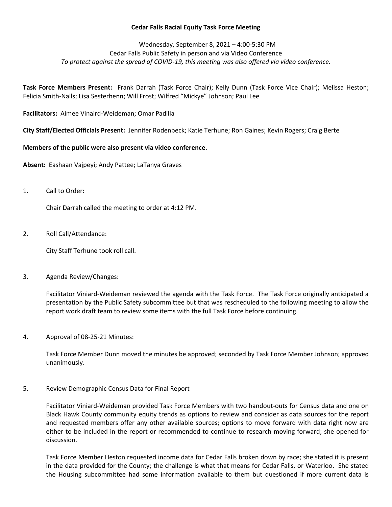## **Cedar Falls Racial Equity Task Force Meeting**

# Wednesday, September 8, 2021 – 4:00-5:30 PM Cedar Falls Public Safety in person and via Video Conference *To protect against the spread of COVID-19, this meeting was also offered via video conference.*

**Task Force Members Present:** Frank Darrah (Task Force Chair); Kelly Dunn (Task Force Vice Chair); Melissa Heston; Felicia Smith-Nalls; Lisa Sesterhenn; Will Frost; Wilfred "Mickye" Johnson; Paul Lee

**Facilitators:** Aimee Vinaird-Weideman; Omar Padilla

**City Staff/Elected Officials Present:** Jennifer Rodenbeck; Katie Terhune; Ron Gaines; Kevin Rogers; Craig Berte

# **Members of the public were also present via video conference.**

**Absent:** Eashaan Vajpeyi; Andy Pattee; LaTanya Graves

1. Call to Order:

Chair Darrah called the meeting to order at 4:12 PM.

2. Roll Call/Attendance:

City Staff Terhune took roll call.

3. Agenda Review/Changes:

Facilitator Viniard-Weideman reviewed the agenda with the Task Force. The Task Force originally anticipated a presentation by the Public Safety subcommittee but that was rescheduled to the following meeting to allow the report work draft team to review some items with the full Task Force before continuing.

4. Approval of 08-25-21 Minutes:

Task Force Member Dunn moved the minutes be approved; seconded by Task Force Member Johnson; approved unanimously.

5. Review Demographic Census Data for Final Report

Facilitator Viniard-Weideman provided Task Force Members with two handout-outs for Census data and one on Black Hawk County community equity trends as options to review and consider as data sources for the report and requested members offer any other available sources; options to move forward with data right now are either to be included in the report or recommended to continue to research moving forward; she opened for discussion.

Task Force Member Heston requested income data for Cedar Falls broken down by race; she stated it is present in the data provided for the County; the challenge is what that means for Cedar Falls, or Waterloo. She stated the Housing subcommittee had some information available to them but questioned if more current data is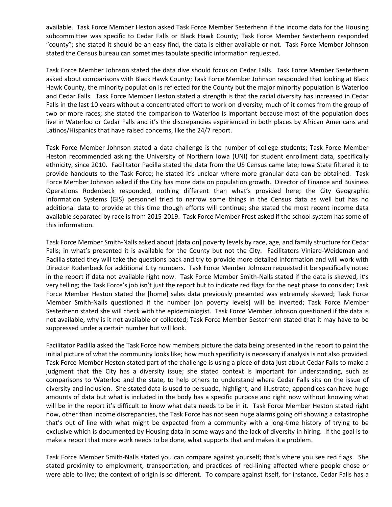available. Task Force Member Heston asked Task Force Member Sesterhenn if the income data for the Housing subcommittee was specific to Cedar Falls or Black Hawk County; Task Force Member Sesterhenn responded "county"; she stated it should be an easy find, the data is either available or not. Task Force Member Johnson stated the Census bureau can sometimes tabulate specific information requested.

Task Force Member Johnson stated the data dive should focus on Cedar Falls. Task Force Member Sesterhenn asked about comparisons with Black Hawk County; Task Force Member Johnson responded that looking at Black Hawk County, the minority population is reflected for the County but the major minority population is Waterloo and Cedar Falls. Task Force Member Heston stated a strength is that the racial diversity has increased in Cedar Falls in the last 10 years without a concentrated effort to work on diversity; much of it comes from the group of two or more races; she stated the comparison to Waterloo is important because most of the population does live in Waterloo or Cedar Falls and it's the discrepancies experienced in both places by African Americans and Latinos/Hispanics that have raised concerns, like the 24/7 report.

Task Force Member Johnson stated a data challenge is the number of college students; Task Force Member Heston recommended asking the University of Northern Iowa (UNI) for student enrollment data, specifically ethnicity, since 2010. Facilitator Padilla stated the data from the US Census came late; Iowa State filtered it to provide handouts to the Task Force; he stated it's unclear where more granular data can be obtained. Task Force Member Johnson asked if the City has more data on population growth. Director of Finance and Business Operations Rodenbeck responded, nothing different than what's provided here; the City Geographic Information Systems (GIS) personnel tried to narrow some things in the Census data as well but has no additional data to provide at this time though efforts will continue; she stated the most recent income data available separated by race is from 2015-2019. Task Force Member Frost asked if the school system has some of this information.

Task Force Member Smith-Nalls asked about [data on] poverty levels by race, age, and family structure for Cedar Falls; in what's presented it is available for the County but not the City. Facilitators Viniard-Weideman and Padilla stated they will take the questions back and try to provide more detailed information and will work with Director Rodenbeck for additional City numbers. Task Force Member Johnson requested it be specifically noted in the report if data not available right now. Task Force Member Smith-Nalls stated if the data is skewed, it's very telling; the Task Force's job isn't just the report but to indicate red flags for the next phase to consider; Task Force Member Heston stated the [home] sales data previously presented was extremely skewed; Task Force Member Smith-Nalls questioned if the number [on poverty levels] will be inverted; Task Force Member Sesterhenn stated she will check with the epidemiologist. Task Force Member Johnson questioned if the data is not available, why is it not available or collected; Task Force Member Sesterhenn stated that it may have to be suppressed under a certain number but will look.

Facilitator Padilla asked the Task Force how members picture the data being presented in the report to paint the initial picture of what the community looks like; how much specificity is necessary if analysis is not also provided. Task Force Member Heston stated part of the challenge is using a piece of data just about Cedar Falls to make a judgment that the City has a diversity issue; she stated context is important for understanding, such as comparisons to Waterloo and the state, to help others to understand where Cedar Falls sits on the issue of diversity and inclusion. She stated data is used to persuade, highlight, and illustrate; appendices can have huge amounts of data but what is included in the body has a specific purpose and right now without knowing what will be in the report it's difficult to know what data needs to be in it. Task Force Member Heston stated right now, other than income discrepancies, the Task Force has not seen huge alarms going off showing a catastrophe that's out of line with what might be expected from a community with a long-time history of trying to be exclusive which is documented by Housing data in some ways and the lack of diversity in hiring. If the goal is to make a report that more work needs to be done, what supports that and makes it a problem.

Task Force Member Smith-Nalls stated you can compare against yourself; that's where you see red flags. She stated proximity to employment, transportation, and practices of red-lining affected where people chose or were able to live; the context of origin is so different. To compare against itself, for instance, Cedar Falls has a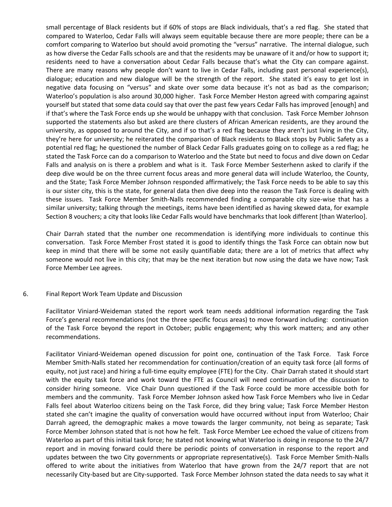small percentage of Black residents but if 60% of stops are Black individuals, that's a red flag. She stated that compared to Waterloo, Cedar Falls will always seem equitable because there are more people; there can be a comfort comparing to Waterloo but should avoid promoting the "versus" narrative. The internal dialogue, such as how diverse the Cedar Falls schools are and that the residents may be unaware of it and/or how to support it; residents need to have a conversation about Cedar Falls because that's what the City can compare against. There are many reasons why people don't want to live in Cedar Falls, including past personal experience(s), dialogue; education and new dialogue will be the strength of the report. She stated it's easy to get lost in negative data focusing on "versus" and skate over some data because it's not as bad as the comparison; Waterloo's population is also around 30,000 higher. Task Force Member Heston agreed with comparing against yourself but stated that some data could say that over the past few years Cedar Falls has improved [enough] and if that's where the Task Force ends up she would be unhappy with that conclusion. Task Force Member Johnson supported the statements also but asked are there clusters of African American residents, are they around the university, as opposed to around the City, and if so that's a red flag because they aren't just living in the City, they're here for university; he reiterated the comparison of Black residents to Black stops by Public Safety as a potential red flag; he questioned the number of Black Cedar Falls graduates going on to college as a red flag; he stated the Task Force can do a comparison to Waterloo and the State but need to focus and dive down on Cedar Falls and analysis on is there a problem and what is it. Task Force Member Sesterhenn asked to clarify if the deep dive would be on the three current focus areas and more general data will include Waterloo, the County, and the State; Task Force Member Johnson responded affirmatively; the Task Force needs to be able to say this is our sister city, this is the state, for general data then dive deep into the reason the Task Force is dealing with these issues. Task Force Member Smith-Nalls recommended finding a comparable city size-wise that has a similar university; talking through the meetings, items have been identified as having skewed data, for example Section 8 vouchers; a city that looks like Cedar Falls would have benchmarks that look different [than Waterloo].

Chair Darrah stated that the number one recommendation is identifying more individuals to continue this conversation. Task Force Member Frost stated it is good to identify things the Task Force can obtain now but keep in mind that there will be some not easily quantifiable data; there are a lot of metrics that affect why someone would not live in this city; that may be the next iteration but now using the data we have now; Task Force Member Lee agrees.

#### 6. Final Report Work Team Update and Discussion

Facilitator Viniard-Weideman stated the report work team needs additional information regarding the Task Force's general recommendations (not the three specific focus areas) to move forward including: continuation of the Task Force beyond the report in October; public engagement; why this work matters; and any other recommendations.

Facilitator Viniard-Weideman opened discussion for point one, continuation of the Task Force. Task Force Member Smith-Nalls stated her recommendation for continuation/creation of an equity task force (all forms of equity, not just race) and hiring a full-time equity employee (FTE) for the City. Chair Darrah stated it should start with the equity task force and work toward the FTE as Council will need continuation of the discussion to consider hiring someone. Vice Chair Dunn questioned if the Task Force could be more accessible both for members and the community. Task Force Member Johnson asked how Task Force Members who live in Cedar Falls feel about Waterloo citizens being on the Task Force, did they bring value; Task Force Member Heston stated she can't imagine the quality of conversation would have occurred without input from Waterloo; Chair Darrah agreed, the demographic makes a move towards the larger community, not being as separate; Task Force Member Johnson stated that is not how he felt. Task Force Member Lee echoed the value of citizens from Waterloo as part of this initial task force; he stated not knowing what Waterloo is doing in response to the 24/7 report and in moving forward could there be periodic points of conversation in response to the report and updates between the two City governments or appropriate representative(s). Task Force Member Smith-Nalls offered to write about the initiatives from Waterloo that have grown from the 24/7 report that are not necessarily City-based but are City-supported. Task Force Member Johnson stated the data needs to say what it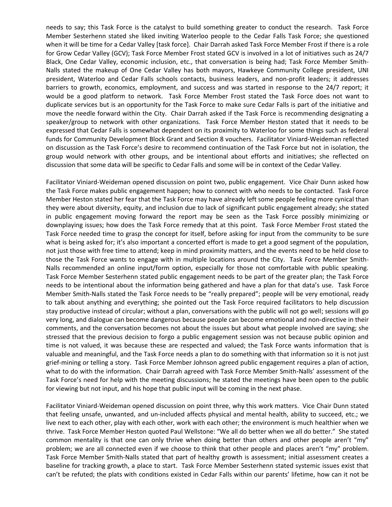needs to say; this Task Force is the catalyst to build something greater to conduct the research. Task Force Member Sesterhenn stated she liked inviting Waterloo people to the Cedar Falls Task Force; she questioned when it will be time for a Cedar Valley [task force]. Chair Darrah asked Task Force Member Frost if there is a role for Grow Cedar Valley (GCV); Task Force Member Frost stated GCV is involved in a lot of initiatives such as 24/7 Black, One Cedar Valley, economic inclusion, etc., that conversation is being had; Task Force Member Smith-Nalls stated the makeup of One Cedar Valley has both mayors, Hawkeye Community College president, UNI president, Waterloo and Cedar Falls schools contacts, business leaders, and non-profit leaders; it addresses barriers to growth, economics, employment, and success and was started in response to the 24/7 report; it would be a good platform to network. Task Force Member Frost stated the Task Force does not want to duplicate services but is an opportunity for the Task Force to make sure Cedar Falls is part of the initiative and move the needle forward within the City. Chair Darrah asked if the Task Force is recommending designating a speaker/group to network with other organizations. Task Force Member Heston stated that it needs to be expressed that Cedar Falls is somewhat dependent on its proximity to Waterloo for some things such as federal funds for Community Development Block Grant and Section 8 vouchers. Facilitator Viniard-Weideman reflected on discussion as the Task Force's desire to recommend continuation of the Task Force but not in isolation, the group would network with other groups, and be intentional about efforts and initiatives; she reflected on discussion that some data will be specific to Cedar Falls and some will be in context of the Cedar Valley.

Facilitator Viniard-Weideman opened discussion on point two, public engagement. Vice Chair Dunn asked how the Task Force makes public engagement happen; how to connect with who needs to be contacted. Task Force Member Heston stated her fear that the Task Force may have already left some people feeling more cynical than they were about diversity, equity, and inclusion due to lack of significant public engagement already; she stated in public engagement moving forward the report may be seen as the Task Force possibly minimizing or downplaying issues; how does the Task Force remedy that at this point. Task Force Member Frost stated the Task Force needed time to grasp the concept for itself, before asking for input from the community to be sure what is being asked for; it's also important a concerted effort is made to get a good segment of the population, not just those with free time to attend; keep in mind proximity matters, and the events need to be held close to those the Task Force wants to engage with in multiple locations around the City. Task Force Member Smith-Nalls recommended an online input/form option, especially for those not comfortable with public speaking. Task Force Member Sesterhenn stated public engagement needs to be part of the greater plan; the Task Force needs to be intentional about the information being gathered and have a plan for that data's use. Task Force Member Smith-Nalls stated the Task Force needs to be "really prepared"; people will be very emotional, ready to talk about anything and everything; she pointed out the Task Force required facilitators to help discussion stay productive instead of circular; without a plan, conversations with the public will not go well; sessions will go very long, and dialogue can become dangerous because people can become emotional and non-directive in their comments, and the conversation becomes not about the issues but about what people involved are saying; she stressed that the previous decision to forgo a public engagement session was not because public opinion and time is not valued, it was because these are respected and valued; the Task Force wants information that is valuable and meaningful, and the Task Force needs a plan to do something with that information so it is not just grief-mining or telling a story. Task Force Member Johnson agreed public engagement requires a plan of action, what to do with the information. Chair Darrah agreed with Task Force Member Smith-Nalls' assessment of the Task Force's need for help with the meeting discussions; he stated the meetings have been open to the public for viewing but not input, and his hope that public input will be coming in the next phase.

Facilitator Viniard-Weideman opened discussion on point three, why this work matters. Vice Chair Dunn stated that feeling unsafe, unwanted, and un-included affects physical and mental health, ability to succeed, etc.; we live next to each other, play with each other, work with each other; the environment is much healthier when we thrive. Task Force Member Heston quoted Paul Wellstone: "We all do better when we all do better." She stated common mentality is that one can only thrive when doing better than others and other people aren't "my" problem; we are all connected even if we choose to think that other people and places aren't "my" problem. Task Force Member Smith-Nalls stated that part of healthy growth is assessment; initial assessment creates a baseline for tracking growth, a place to start. Task Force Member Sesterhenn stated systemic issues exist that can't be refuted; the plats with conditions existed in Cedar Falls within our parents' lifetime, how can it not be